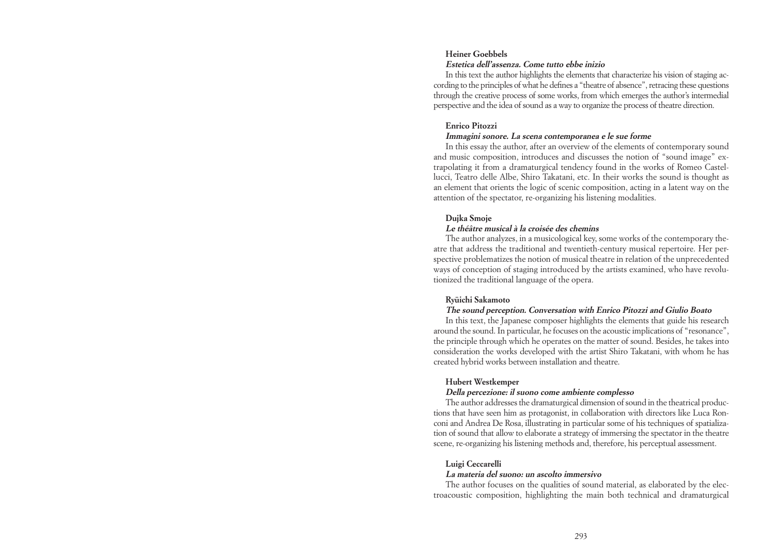#### **Heiner Goebbels**

#### **Estetica dell'assenza. Come tutto ebbe inizio**

In this text the author highlights the elements that characterize his vision of staging according to the principles of what he defines a "theatre of absence", retracing these questions through the creative process of some works, from which emerges the author's intermedial perspective and the idea of sound as a way to organize the process of theatre direction.

#### **Enrico Pitozzi**

#### **Immagini sonore. La scena contemporanea e le sue forme**

In this essay the author, after an overview of the elements of contemporary sound and music composition, introduces and discusses the notion of "sound image" extrapolating it from a dramaturgical tendency found in the works of Romeo Castellucci, Teatro delle Albe, Shiro Takatani, etc. In their works the sound is thought as an element that orients the logic of scenic composition, acting in a latent way on the attention of the spectator, re-organizing his listening modalities.

#### **Dujka Smoje**

#### **Le théâtre musical à la croisée des chemins**

The author analyzes, in a musicological key, some works of the contemporary theatre that address the traditional and twentieth-century musical repertoire. Her perspective problematizes the notion of musical theatre in relation of the unprecedented ways of conception of staging introduced by the artists examined, who have revolutionized the traditional language of the opera.

#### **Ry¯uichi Sakamoto**

#### **The sound perception. Conversation with Enrico Pitozzi and Giulio Boato**

In this text, the Japanese composer highlights the elements that guide his research around the sound. In particular, he focuses on the acoustic implications of "resonance", the principle through which he operates on the matter of sound. Besides, he takes into consideration the works developed with the artist Shiro Takatani, with whom he has created hybrid works between installation and theatre.

#### **Hubert Westkemper**

#### **Della percezione: il suono come ambiente complesso**

The author addresses the dramaturgical dimension of sound in the theatrical productions that have seen him as protagonist, in collaboration with directors like Luca Ronconi and Andrea De Rosa, illustrating in particular some of his techniques of spatialization of sound that allow to elaborate a strategy of immersing the spectator in the theatre scene, re-organizing his listening methods and, therefore, his perceptual assessment.

#### **Luigi Ceccarelli**

#### **La materia del suono: un ascolto immersivo**

The author focuses on the qualities of sound material, as elaborated by the electroacoustic composition, highlighting the main both technical and dramaturgical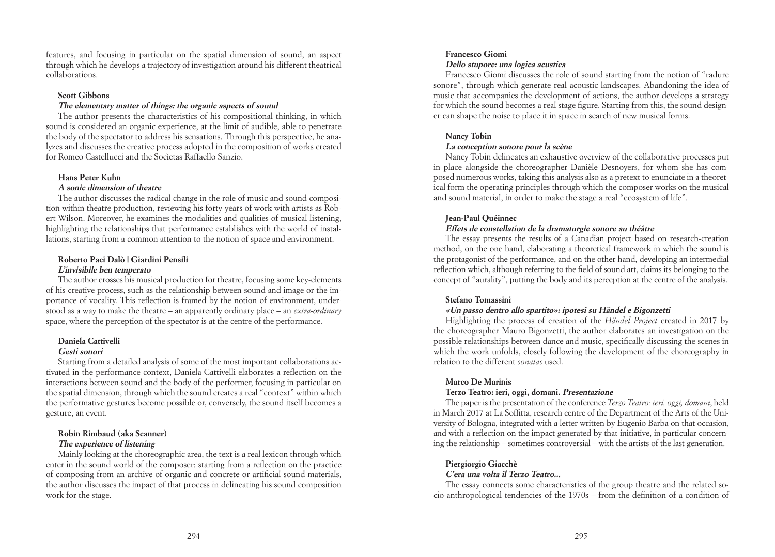features, and focusing in particular on the spatial dimension of sound, an aspect through which he develops a trajectory of investigation around his different theatrical collaborations.

### **Scott Gibbons**

### **The elementary matter of things: the organic aspects of sound**

The author presents the characteristics of his compositional thinking, in which sound is considered an organic experience, at the limit of audible, able to penetrate the body of the spectator to address his sensations. Through this perspective, he analyzes and discusses the creative process adopted in the composition of works created for Romeo Castellucci and the Socìetas Raffaello Sanzio.

### **Hans Peter Kuhn**

#### **A sonic dimension of theatre**

The author discusses the radical change in the role of music and sound composition within theatre production, reviewing his forty-years of work with artists as Robert Wilson. Moreover, he examines the modalities and qualities of musical listening, highlighting the relationships that performance establishes with the world of installations, starting from a common attention to the notion of space and environment.

### **Roberto Paci Dalò | Giardini Pensili L'invisibile ben temperato**

The author crosses his musical production for theatre, focusing some key-elements of his creative process, such as the relationship between sound and image or the importance of vocality. This reflection is framed by the notion of environment, understood as a way to make the theatre – an apparently ordinary place – an *extra-ordinary*  space, where the perception of the spectator is at the centre of the performance.

## **Daniela Cattivelli**

### **Gesti sonori**

Starting from a detailed analysis of some of the most important collaborations activated in the performance context, Daniela Cattivelli elaborates a reflection on the interactions between sound and the body of the performer, focusing in particular on the spatial dimension, through which the sound creates a real "context" within which the performative gestures become possible or, conversely, the sound itself becomes a gesture, an event.

# **Robin Rimbaud (aka Scanner) The experience of listening**

Mainly looking at the choreographic area, the text is a real lexicon through which enter in the sound world of the composer: starting from a reflection on the practice of composing from an archive of organic and concrete or artificial sound materials, the author discusses the impact of that process in delineating his sound composition work for the stage.

### **Francesco Giomi**

### **Dello stupore: una logica acustica**

Francesco Giomi discusses the role of sound starting from the notion of "radure sonore", through which generate real acoustic landscapes. Abandoning the idea of music that accompanies the development of actions, the author develops a strategy for which the sound becomes a real stage figure. Starting from this, the sound designer can shape the noise to place it in space in search of new musical forms.

## **Nancy Tobin**

### **La conception sonore pour la scène**

Nancy Tobin delineates an exhaustive overview of the collaborative processes put in place alongside the choreographer Danièle Desnoyers, for whom she has composed numerous works, taking this analysis also as a pretext to enunciate in a theoretical form the operating principles through which the composer works on the musical and sound material, in order to make the stage a real "ecosystem of life".

## **Jean-Paul Quéinnec**

### **Effets de constellation de la dramaturgie sonore au théâtre**

The essay presents the results of a Canadian project based on research-creation method, on the one hand, elaborating a theoretical framework in which the sound is the protagonist of the performance, and on the other hand, developing an intermedial reflection which, although referring to the field of sound art, claims its belonging to the concept of "aurality", putting the body and its perception at the centre of the analysis.

## **Stefano Tomassini**

### **«Un passo dentro allo spartito»: ipotesi su Händel e Bigonzetti**

Highlighting the process of creation of the *Händel Project* created in 2017 by the choreographer Mauro Bigonzetti, the author elaborates an investigation on the possible relationships between dance and music, specifically discussing the scenes in which the work unfolds, closely following the development of the choreography in relation to the different *sonatas* used.

## **Marco De Marinis**

### **Terzo Teatro: ieri, oggi, domani. Presentazione**

The paper is the presentation of the conference *Terzo Teatro: ieri, oggi, domani*, held in March 2017 at La Soffitta, research centre of the Department of the Arts of the University of Bologna, integrated with a letter written by Eugenio Barba on that occasion, and with a reflection on the impact generated by that initiative, in particular concerning the relationship – sometimes controversial – with the artists of the last generation.

## **Piergiorgio Giacchè**

# **C'era una volta il Terzo Teatro...**

The essay connects some characteristics of the group theatre and the related socio-anthropological tendencies of the 1970s – from the definition of a condition of